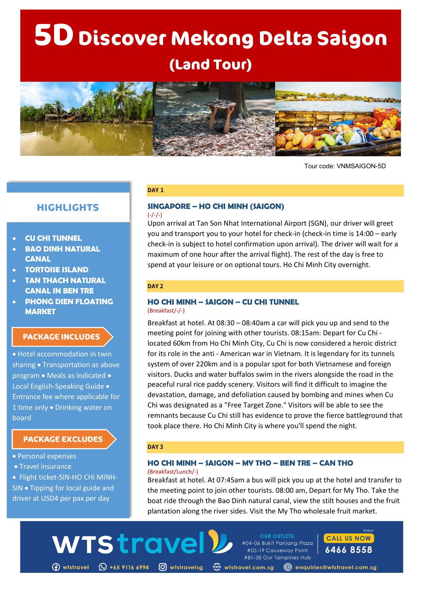# $5D$  Discover Mekong Delta Saigon **(Land Tour)**



Tour code: VNMSAIGON-5D

# **HIGHLIGHTS**

- **CU CHI TUNNEL**
- **BAO DINH NATURAL CANAL**
- **TORTOISE ISLAND**
- **TAN THACH NATURAL CANAL IN BEN TRE**
- **PHONG DIEN FLOATING MARKET**

### **PACKAGE INCLUDES**

• Hotel accommodation in twin sharing • Transportation as above program • Meals as indicated • Local English-Speaking Guide • Entrance fee where applicable for 1 time only • Drinking water on board

# **PACKAGE EXCLUDES**

- Personal expenses
- Travel insurance

• Flight ticket-SIN-HO CHI MINH-SIN • Tipping for local guide and driver at USD4 per pax per day

#### **DAY 1**

#### **SINGAPORE – HO CHI MINH (SAIGON)**  $(-/-/-)$

Upon arrival at Tan Son Nhat International Airport (SGN), our driver will greet you and transport you to your hotel for check-in (check-in time is 14:00 – early check-in is subject to hotel confirmation upon arrival). The driver will wait for a maximum of one hour after the arrival flight). The rest of the day is free to spend at your leisure or on optional tours. Ho Chi Minh City overnight.

#### **DAY 2**

#### **HO CHI MINH – SAIGON – CU CHI TUNNEL** (Breakfast/-/-)

Breakfast at hotel. At 08:30 – 08:40am a car will pick you up and send to the meeting point for joining with other tourists. 08:15am: Depart for Cu Chi located 60km from Ho Chi Minh City, Cu Chi is now considered a heroic district for its role in the anti - American war in Vietnam. It is legendary for its tunnels system of over 220km and is a popular spot for both Vietnamese and foreign visitors. Ducks and water buffalos swim in the rivers alongside the road in the peaceful rural rice paddy scenery. Visitors will find it difficult to imagine the devastation, damage, and defoliation caused by bombing and mines when Cu Chi was designated as a "Free Target Zone." Visitors will be able to see the remnants because Cu Chi still has evidence to prove the fierce battleground that took place there. Ho Chi Minh City is where you'll spend the night.

#### **DAY 3**

WTStrave

#### **HO CHI MINH – SAIGON – MY THO – BEN TRE – CAN THO** (Breakfast/Lunch/-)

Breakfast at hotel. At 07:45am a bus will pick you up at the hotel and transfer to the meeting point to join other tourists. 08:00 am, Depart for My Tho. Take the boat ride through the Bao Dinh natural canal, view the stilt houses and the fruit plantation along the river sides. Visit the My Tho wholesale fruit market.

**OUR OUTLETS:** 

#04-06 Bukit Panjana Plaza

#05-19 Causeway Point

(f) wtstravel (Q +65 9116 6994 (O) wtstravelsg «www.tstravel.com.sg (@) enquiries@wtstravel.com.sg

#B1-38 Our Tampines Hub

**CALL US NOW** 

6466 8558